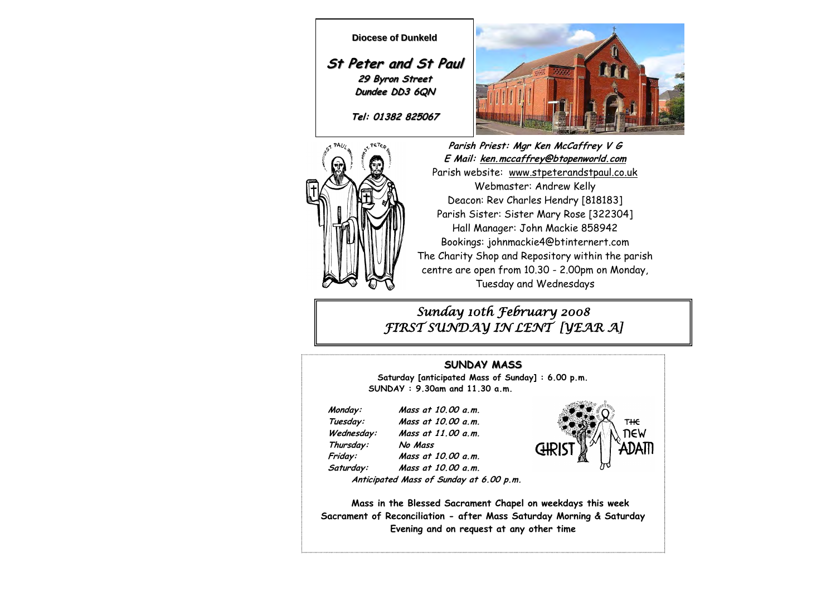



**Parish Priest: Mgr Ken McCaffrey V G E Mail: ken.mccaffrey@btopenworld.com** Parish website: www.stpeterandstpaul.co.uk Webmaster: Andrew Kelly Deacon: Rev Charles Hendry [818183] Parish Sister: Sister Mary Rose [322304] Hall Manager: John Mackie 858942 Bookings: johnmackie4@btinternert.com The Charity Shop and Repository within the parish centre are open from 10.30 - 2.00pm on Monday, Tuesday and Wednesdays

*Sunday 10th February 2008 FIRST SUNDAY IN LENT [YEAR A]*

### **SUNDAY MASS**

**Saturday [anticipated Mass of Sunday] : 6.00 p.m. SUNDAY : 9.30am and 11.30 a.m.** 

 **Thursday: No Mass** 

 **Monday: Mass at 10.00 a.m. Tuesday: Mass at 10.00 a.m. Wednesday: Mass at 11.00 a.m. Friday: Mass at 10.00 a.m. Saturday: Mass at 10.00 a.m.** 



 **Anticipated Mass of Sunday at 6.00 p.m.** 

**Mass in the Blessed Sacrament Chapel on weekdays this week Sacrament of Reconciliation - after Mass Saturday Morning & Saturday Evening and on request at any other time**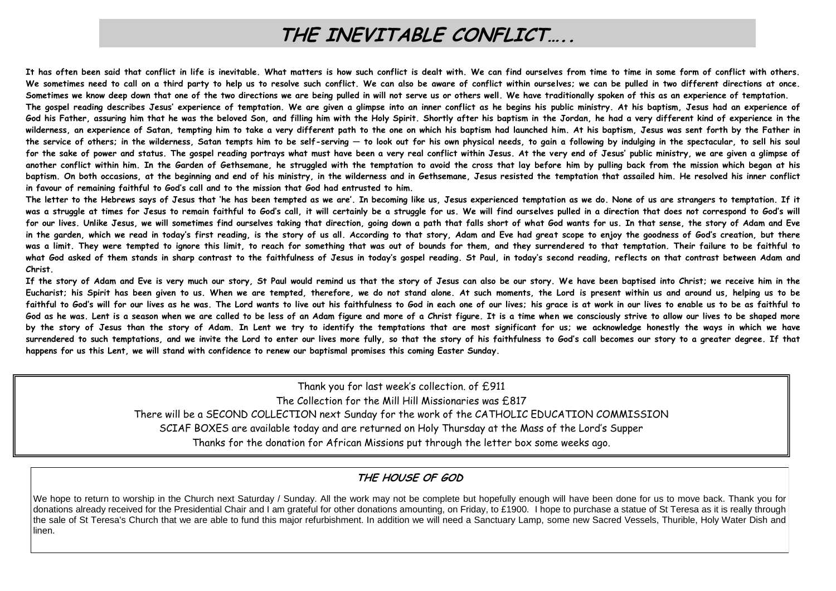# **THE INEVITABLE CONFLICT…..**

**It has often been said that conflict in life is inevitable. What matters is how such conflict is dealt with. We can find ourselves from time to time in some form of conflict with others.**  We sometimes need to call on a third party to help us to resolve such conflict. We can also be aware of conflict within ourselves; we can be pulled in two different directions at once. Sometimes we know deep down that one of the two directions we are being pulled in will not serve us or others well. We have traditionally spoken of this as an experience of temptation. The gospel reading describes Jesus' experience of temptation. We are given a glimpse into an inner conflict as he begins his public ministry. At his baptism, Jesus had an experience of **God his Father, assuring him that he was the beloved Son, and filling him with the Holy Spirit. Shortly after his baptism in the Jordan, he had a very different kind of experience in the wilderness, an experience of Satan, tempting him to take a very different path to the one on which his baptism had launched him. At his baptism, Jesus was sent forth by the Father in the service of others; in the wilderness, Satan tempts him to be self-serving — to look out for his own physical needs, to gain a following by indulging in the spectacular, to sell his soul for the sake of power and status. The gospel reading portrays what must have been a very real conflict within Jesus. At the very end of Jesus' public ministry, we are given a glimpse of another conflict within him. In the Garden of Gethsemane, he struggled with the temptation to avoid the cross that lay before him by pulling back from the mission which began at his baptism. On both occasions, at the beginning and end of his ministry, in the wilderness and in Gethsemane, Jesus resisted the temptation that assailed him. He resolved his inner conflict in favour of remaining faithful to God's call and to the mission that God had entrusted to him.** 

**The letter to the Hebrews says of Jesus that 'he has been tempted as we are'. In becoming like us, Jesus experienced temptation as we do. None of us are strangers to temptation. If it**  was a struggle at times for Jesus to remain faithful to God's call, it will certainly be a struggle for us. We will find ourselves pulled in a direction that does not correspond to God's will **for our lives. Unlike Jesus, we will sometimes find ourselves taking that direction, going down a path that falls short of what God wants for us. In that sense, the story of Adam and Eve in the garden, which we read in today's first reading, is the story of us all. According to that story, Adam and Eve had great scope to enjoy the goodness of God's creation, but there was a limit. They were tempted to ignore this limit, to reach for something that was out of bounds for them, and they surrendered to that temptation. Their failure to be faithful to what God asked of them stands in sharp contrast to the faithfulness of Jesus in today's gospel reading. St Paul, in today's second reading, reflects on that contrast between Adam and Christ.** 

**If the story of Adam and Eve is very much our story, St Paul would remind us that the story of Jesus can also be our story. We have been baptised into Christ; we receive him in the Eucharist; his Spirit has been given to us. When we are tempted, therefore, we do not stand alone. At such moments, the Lord is present within us and around us, helping us to be faithful to God's will for our lives as he was. The Lord wants to live out his faithfulness to God in each one of our lives; his grace is at work in our lives to enable us to be as faithful to God as he was. Lent is a season when we are called to be less of an Adam figure and more of a Christ figure. It is a time when we consciously strive to allow our lives to be shaped more by the story of Jesus than the story of Adam. In Lent we try to identify the temptations that are most significant for us; we acknowledge honestly the ways in which we have surrendered to such temptations, and we invite the Lord to enter our lives more fully, so that the story of his faithfulness to God's call becomes our story to a greater degree. If that happens for us this Lent, we will stand with confidence to renew our baptismal promises this coming Easter Sunday.** 

Thank you for last week's collection. of £911

The Collection for the Mill Hill Missionaries was £817

There will be a SECOND COLLECTION next Sunday for the work of the CATHOLIC EDUCATION COMMISSION

SCIAF BOXES are available today and are returned on Holy Thursday at the Mass of the Lord's Supper

Thanks for the donation for African Missions put through the letter box some weeks ago.

## **THE HOUSE OF GOD**

We hope to return to worship in the Church next Saturday / Sunday. All the work may not be complete but hopefully enough will have been done for us to move back. Thank you for donations already received for the Presidential Chair and I am grateful for other donations amounting, on Friday, to £1900. I hope to purchase a statue of St Teresa as it is really through the sale of St Teresa's Church that we are able to fund this major refurbishment. In addition we will need a Sanctuary Lamp, some new Sacred Vessels, Thurible, Holy Water Dish and linen.